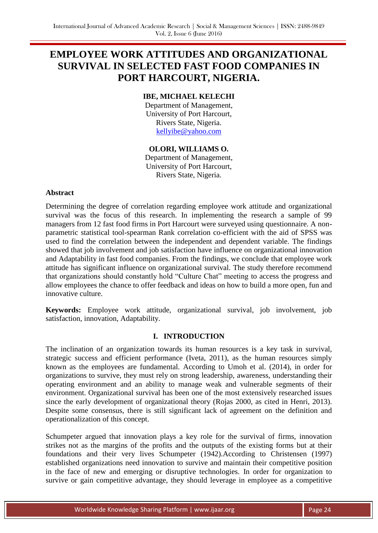# **EMPLOYEE WORK ATTITUDES AND ORGANIZATIONAL SURVIVAL IN SELECTED FAST FOOD COMPANIES IN PORT HARCOURT, NIGERIA.**

# **IBE, MICHAEL KELECHI**

Department of Management, University of Port Harcourt, Rivers State, Nigeria. [kellyibe@yahoo.com](mailto:kellyibe@yahoo.com)

### **OLORI, WILLIAMS O.**

Department of Management, University of Port Harcourt, Rivers State, Nigeria.

### **Abstract**

Determining the degree of correlation regarding employee work attitude and organizational survival was the focus of this research. In implementing the research a sample of 99 managers from 12 fast food firms in Port Harcourt were surveyed using questionnaire. A nonparametric statistical tool-spearman Rank correlation co-efficient with the aid of SPSS was used to find the correlation between the independent and dependent variable. The findings showed that job involvement and job satisfaction have influence on organizational innovation and Adaptability in fast food companies. From the findings, we conclude that employee work attitude has significant influence on organizational survival. The study therefore recommend that organizations should constantly hold "Culture Chat" meeting to access the progress and allow employees the chance to offer feedback and ideas on how to build a more open, fun and innovative culture.

**Keywords:** Employee work attitude, organizational survival, job involvement, job satisfaction, innovation, Adaptability.

# **I. INTRODUCTION**

The inclination of an organization towards its human resources is a key task in survival, strategic success and efficient performance (Iveta, 2011), as the human resources simply known as the employees are fundamental. According to Umoh et al. (2014), in order for organizations to survive, they must rely on strong leadership, awareness, understanding their operating environment and an ability to manage weak and vulnerable segments of their environment. Organizational survival has been one of the most extensively researched issues since the early development of organizational theory (Rojas 2000, as cited in Henri, 2013). Despite some consensus, there is still significant lack of agreement on the definition and operationalization of this concept.

Schumpeter argued that innovation plays a key role for the survival of firms, innovation strikes not as the margins of the profits and the outputs of the existing forms but at their foundations and their very lives Schumpeter (1942).According to Christensen (1997) established organizations need innovation to survive and maintain their competitive position in the face of new and emerging or disruptive technologies. In order for organization to survive or gain competitive advantage, they should leverage in employee as a competitive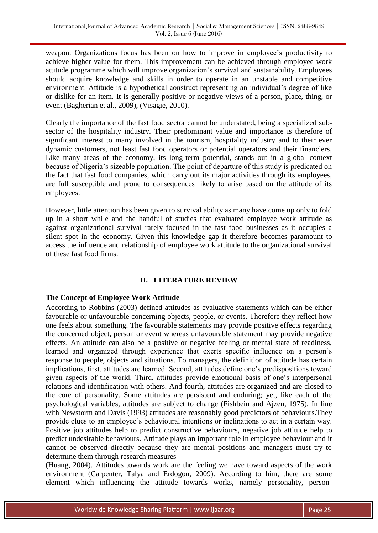weapon. Organizations focus has been on how to improve in employee's productivity to achieve higher value for them. This improvement can be achieved through employee work attitude programme which will improve organization's survival and sustainability. Employees should acquire knowledge and skills in order to operate in an unstable and competitive environment. Attitude is a hypothetical construct representing an individual's degree of like or dislike for an item. It is generally positive or negative views of a person, place, thing, or event (Bagherian et al., 2009), (Visagie, 2010).

Clearly the importance of the fast food sector cannot be understated, being a specialized subsector of the hospitality industry. Their predominant value and importance is therefore of significant interest to many involved in the tourism, hospitality industry and to their ever dynamic customers, not least fast food operators or potential operators and their financiers, Like many areas of the economy, its long-term potential, stands out in a global context because of Nigeria's sizeable population. The point of departure of this study is predicated on the fact that fast food companies, which carry out its major activities through its employees, are full susceptible and prone to consequences likely to arise based on the attitude of its employees.

However, little attention has been given to survival ability as many have come up only to fold up in a short while and the handful of studies that evaluated employee work attitude as against organizational survival rarely focused in the fast food businesses as it occupies a silent spot in the economy. Given this knowledge gap it therefore becomes paramount to access the influence and relationship of employee work attitude to the organizational survival of these fast food firms.

# **II. LITERATURE REVIEW**

# **The Concept of Employee Work Attitude**

According to Robbins (2003) defined attitudes as evaluative statements which can be either favourable or unfavourable concerning objects, people, or events. Therefore they reflect how one feels about something. The favourable statements may provide positive effects regarding the concerned object, person or event whereas unfavourable statement may provide negative effects. An attitude can also be a positive or negative feeling or mental state of readiness, learned and organized through experience that exerts specific influence on a person's response to people, objects and situations. To managers, the definition of attitude has certain implications, first, attitudes are learned. Second, attitudes define one's predispositions toward given aspects of the world. Third, attitudes provide emotional basis of one's interpersonal relations and identification with others. And fourth, attitudes are organized and are closed to the core of personality. Some attitudes are persistent and enduring; yet, like each of the psychological variables, attitudes are subject to change (Fishbein and Ajzen, 1975). In line with Newstorm and Davis (1993) attitudes are reasonably good predictors of behaviours.They provide clues to an employee's behavioural intentions or inclinations to act in a certain way. Positive job attitudes help to predict constructive behaviours, negative job attitude help to predict undesirable behaviours. Attitude plays an important role in employee behaviour and it cannot be observed directly because they are mental positions and managers must try to determine them through research measures

(Huang, 2004). Attitudes towards work are the feeling we have toward aspects of the work environment (Carpenter, Talya and Erdogon, 2009). According to him, there are some element which influencing the attitude towards works, namely personality, person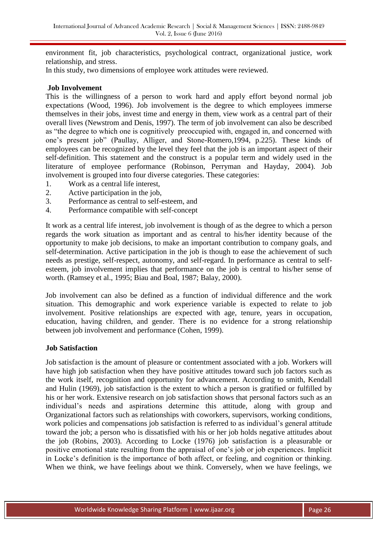environment fit, job characteristics, psychological contract, organizational justice, work relationship, and stress.

In this study, two dimensions of employee work attitudes were reviewed.

#### **Job Involvement**

This is the willingness of a person to work hard and apply effort beyond normal job expectations (Wood, 1996). Job involvement is the degree to which employees immerse themselves in their jobs, invest time and energy in them, view work as a central part of their overall lives (Newstrom and Denis, 1997). The term of job involvement can also be described as "the degree to which one is cognitively preoccupied with, engaged in, and concerned with one's present job" (Paullay, Alliger, and Stone-Romero,1994, p.225). These kinds of employees can be recognized by the level they feel that the job is an important aspect of their self-definition. This statement and the construct is a popular term and widely used in the literature of employee performance (Robinson, Perryman and Hayday, 2004). Job involvement is grouped into four diverse categories. These categories:

- 1. Work as a central life interest,
- 2. Active participation in the job,
- 3. Performance as central to self-esteem, and
- 4. Performance compatible with self-concept

It work as a central life interest, job involvement is though of as the degree to which a person regards the work situation as important and as central to his/her identity because of the opportunity to make job decisions, to make an important contribution to company goals, and self-determination. Active participation in the job is though to ease the achievement of such needs as prestige, self-respect, autonomy, and self-regard. In performance as central to selfesteem, job involvement implies that performance on the job is central to his/her sense of worth. (Ramsey et al., 1995; Biau and Boal, 1987; Balay, 2000).

Job involvement can also be defined as a function of individual difference and the work situation. This demographic and work experience variable is expected to relate to job involvement. Positive relationships are expected with age, tenure, years in occupation, education, having children, and gender. There is no evidence for a strong relationship between job involvement and performance (Cohen, 1999).

### **Job Satisfaction**

Job satisfaction is the amount of pleasure or contentment associated with a job. Workers will have high job satisfaction when they have positive attitudes toward such job factors such as the work itself, recognition and opportunity for advancement. According to smith, Kendall and Hulin (1969), job satisfaction is the extent to which a person is gratified or fulfilled by his or her work. Extensive research on job satisfaction shows that personal factors such as an individual's needs and aspirations determine this attitude, along with group and Organizational factors such as relationships with coworkers, supervisors, working conditions, work policies and compensations job satisfaction is referred to as individual's general attitude toward the job; a person who is dissatisfied with his or her job holds negative attitudes about the job (Robins, 2003). According to Locke (1976) job satisfaction is a pleasurable or positive emotional state resulting from the appraisal of one's job or job experiences. Implicit in Locke's definition is the importance of both affect, or feeling, and cognition or thinking. When we think, we have feelings about we think. Conversely, when we have feelings, we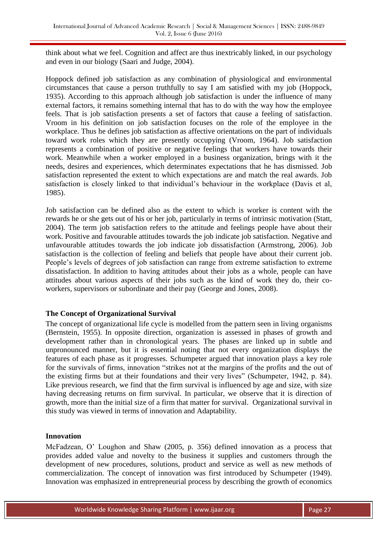think about what we feel. Cognition and affect are thus inextricably linked, in our psychology and even in our biology (Saari and Judge, 2004).

Hoppock defined job satisfaction as any combination of physiological and environmental circumstances that cause a person truthfully to say I am satisfied with my job (Hoppock, 1935). According to this approach although job satisfaction is under the influence of many external factors, it remains something internal that has to do with the way how the employee feels. That is job satisfaction presents a set of factors that cause a feeling of satisfaction. Vroom in his definition on job satisfaction focuses on the role of the employee in the workplace. Thus he defines job satisfaction as affective orientations on the part of individuals toward work roles which they are presently occupying (Vroom, 1964). Job satisfaction represents a combination of positive or negative feelings that workers have towards their work. Meanwhile when a worker employed in a business organization, brings with it the needs, desires and experiences, which determinates expectations that he has dismissed. Job satisfaction represented the extent to which expectations are and match the real awards. Job satisfaction is closely linked to that individual's behaviour in the workplace (Davis et al, 1985).

Job satisfaction can be defined also as the extent to which is worker is content with the rewards he or she gets out of his or her job, particularly in terms of intrinsic motivation (Statt, 2004). The term job satisfaction refers to the attitude and feelings people have about their work. Positive and favourable attitudes towards the job indicate job satisfaction. Negative and unfavourable attitudes towards the job indicate job dissatisfaction (Armstrong, 2006). Job satisfaction is the collection of feeling and beliefs that people have about their current job. People's levels of degrees of job satisfaction can range from extreme satisfaction to extreme dissatisfaction. In addition to having attitudes about their jobs as a whole, people can have attitudes about various aspects of their jobs such as the kind of work they do, their coworkers, supervisors or subordinate and their pay (George and Jones, 2008).

# **The Concept of Organizational Survival**

The concept of organizational life cycle is modelled from the pattern seen in living organisms (Bernstein, 1955). In opposite direction, organization is assessed in phases of growth and development rather than in chronological years. The phases are linked up in subtle and unpronounced manner, but it is essential noting that not every organization displays the features of each phase as it progresses. Schumpeter argued that innovation plays a key role for the survivals of firms, innovation "strikes not at the margins of the profits and the out of the existing firms but at their foundations and their very lives" (Schumpeter, 1942, p. 84). Like previous research, we find that the firm survival is influenced by age and size, with size having decreasing returns on firm survival. In particular, we observe that it is direction of growth, more than the initial size of a firm that matter for survival. Organizational survival in this study was viewed in terms of innovation and Adaptability.

### **Innovation**

McFadzean, O' Loughon and Shaw (2005, p. 356) defined innovation as a process that provides added value and novelty to the business it supplies and customers through the development of new procedures, solutions, product and service as well as new methods of commercialization. The concept of innovation was first introduced by Schumpeter (1949). Innovation was emphasized in entrepreneurial process by describing the growth of economics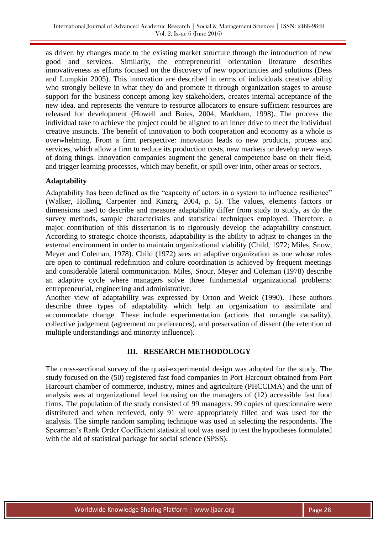as driven by changes made to the existing market structure through the introduction of new good and services. Similarly, the entrepreneurial orientation literature describes innovativeness as efforts focused on the discovery of new opportunities and solutions (Dess and Lumpkin 2005). This innovation are described in terms of individuals creative ability who strongly believe in what they do and promote it through organization stages to arouse support for the business concept among key stakeholders, creates internal acceptance of the new idea, and represents the venture to resource allocators to ensure sufficient resources are released for development (Howell and Boies, 2004; Markham, 1998). The process the individual take to achieve the project could be aligned to an inner drive to meet the individual creative instincts. The benefit of innovation to both cooperation and economy as a whole is overwhelming. From a firm perspective: innovation leads to new products, process and services, which allow a firm to reduce its production costs, new markets or develop new ways of doing things. Innovation companies augment the general competence base on their field, and trigger learning processes, which may benefit, or spill over into, other areas or sectors.

# **Adaptability**

Adaptability has been defined as the "capacity of actors in a system to influence resilience" (Walker, Holling, Carpenter and Kinzrg, 2004, p. 5). The values, elements factors or dimensions used to describe and measure adaptability differ from study to study, as do the survey methods, sample characteristics and statistical techniques employed. Therefore, a major contribution of this dissertation is to rigorously develop the adaptability construct. According to strategic choice theorists, adaptability is the ability to adjust to changes in the external environment in order to maintain organizational viability (Child, 1972; Miles, Snow, Meyer and Coleman, 1978). Child (1972) sees an adaptive organization as one whose roles are open to continual redefinition and colure coordination is achieved by frequent meetings and considerable lateral communication. Miles, Snour, Meyer and Coleman (1978) describe an adaptive cycle where managers solve three fundamental organizational problems: entrepreneurial, engineering and administrative.

Another view of adaptability was expressed by Orton and Weick (1990). These authors describe three types of adaptability which help an organization to assimilate and accommodate change. These include experimentation (actions that untangle causality), collective judgement (agreement on preferences), and preservation of dissent (the retention of multiple understandings and minority influence).

### **III. RESEARCH METHODOLOGY**

The cross-sectional survey of the quasi-experimental design was adopted for the study. The study focused on the (50) registered fast food companies in Port Harcourt obtained from Port Harcourt chamber of commerce, industry, mines and agriculture (PHCCIMA) and the unit of analysis was at organizational level focusing on the managers of (12) accessible fast food firms. The population of the study consisted of 99 managers. 99 copies of questionnaire were distributed and when retrieved, only 91 were appropriately filled and was used for the analysis. The simple random sampling technique was used in selecting the respondents. The Spearman's Rank Order Coefficient statistical tool was used to test the hypotheses formulated with the aid of statistical package for social science (SPSS).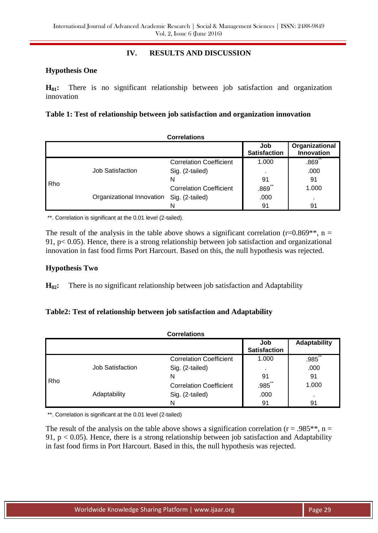# **IV. RESULTS AND DISCUSSION**

### **Hypothesis One**

**H01:** There is no significant relationship between job satisfaction and organization innovation

### **Table 1: Test of relationship between job satisfaction and organization innovation**

|     |                           | <b>Correlations</b>            |                            |                              |
|-----|---------------------------|--------------------------------|----------------------------|------------------------------|
|     |                           |                                | Job<br><b>Satisfaction</b> | Organizational<br>Innovation |
|     | Job Satisfaction          | <b>Correlation Coefficient</b> | 1.000                      | **<br>.869                   |
|     |                           | Sig. (2-tailed)                |                            | .000                         |
| Rho |                           | N                              | 91                         | 91                           |
|     | Organizational Innovation | <b>Correlation Coefficient</b> | **<br>.869                 | 1.000                        |
|     |                           | Sig. (2-tailed)                | .000                       |                              |
|     |                           | N                              | 91                         | 91                           |

\*\*. Correlation is significant at the 0.01 level (2-tailed).

The result of the analysis in the table above shows a significant correlation (r=0.869<sup>\*\*</sup>, n = 91, p< 0.05). Hence, there is a strong relationship between job satisfaction and organizational innovation in fast food firms Port Harcourt. Based on this, the null hypothesis was rejected.

### **Hypothesis Two**

**H02:** There is no significant relationship between job satisfaction and Adaptability

# **Table2: Test of relationship between job satisfaction and Adaptability**

| <b>Correlations</b> |                  |                                |                            |                     |  |
|---------------------|------------------|--------------------------------|----------------------------|---------------------|--|
|                     |                  |                                | Job<br><b>Satisfaction</b> | <b>Adaptability</b> |  |
|                     |                  | <b>Correlation Coefficient</b> | 1.000                      | **<br>.985          |  |
|                     | Job Satisfaction | Sig. (2-tailed)                |                            | .000                |  |
| Rho                 |                  | N                              | 91                         | 91                  |  |
|                     |                  | <b>Correlation Coefficient</b> | **<br>.985                 | 1.000               |  |
|                     | Adaptability     | Sig. (2-tailed)                | .000                       | $\sim$              |  |
|                     |                  | N                              | 91                         | 91                  |  |

\*\*. Correlation is significant at the 0.01 level (2-tailed)

The result of the analysis on the table above shows a signification correlation ( $r = .985**$ ,  $n =$ 91,  $p < 0.05$ ). Hence, there is a strong relationship between job satisfaction and Adaptability in fast food firms in Port Harcourt. Based in this, the null hypothesis was rejected.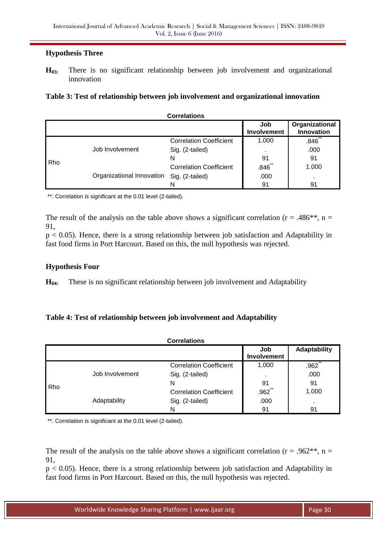# **Hypothesis Three**

**H03:** There is no significant relationship between job involvement and organizational innovation

|  | Table 3: Test of relationship between job involvement and organizational innovation |  |  |  |
|--|-------------------------------------------------------------------------------------|--|--|--|
|  |                                                                                     |  |  |  |

|     |                           | <b>Correlations</b>            |                           |                                     |
|-----|---------------------------|--------------------------------|---------------------------|-------------------------------------|
|     |                           |                                | Job<br><b>Involvement</b> | Organizational<br><b>Innovation</b> |
|     | Job Involvement           | <b>Correlation Coefficient</b> | 1.000                     | .846                                |
|     |                           | Sig. (2-tailed)                |                           | .000                                |
| Rho |                           | N                              | 91                        | 91                                  |
|     | Organizational Innovation | <b>Correlation Coefficient</b> | .846                      | 1.000                               |
|     |                           | Sig. (2-tailed)                | .000                      | ٠                                   |
|     |                           | N                              | 91                        | 91                                  |

\*\*. Correlation is significant at the 0.01 level (2-tailed).

The result of the analysis on the table above shows a significant correlation ( $r = .486$ <sup>\*</sup>,  $n =$ 91,

 $p < 0.05$ ). Hence, there is a strong relationship between job satisfaction and Adaptability in fast food firms in Port Harcourt. Based on this, the null hypothesis was rejected.

### **Hypothesis Four**

**H04:** These is no significant relationship between job involvement and Adaptability

# **Table 4: Test of relationship between job involvement and Adaptability**

| <b>Correlations</b> |                 |                                |                    |                     |  |
|---------------------|-----------------|--------------------------------|--------------------|---------------------|--|
|                     |                 |                                | Job<br>Involvement | <b>Adaptability</b> |  |
| Rho                 | Job Involvement | <b>Correlation Coefficient</b> | 1.000              | $**$<br>.962        |  |
|                     |                 | Sig. (2-tailed)                |                    | .000                |  |
|                     |                 | N                              | 91                 | 91                  |  |
|                     |                 | <b>Correlation Coefficient</b> | **<br>.962         | 1.000               |  |
|                     | Adaptability    | Sig. (2-tailed)                | .000               |                     |  |
|                     |                 | N                              | 91                 | 91                  |  |

\*\*. Correlation is significant at the 0.01 level (2-tailed).

The result of the analysis on the table above shows a significant correlation ( $r = .962$ <sup>\*\*</sup>,  $n =$ 91,

 $p < 0.05$ ). Hence, there is a strong relationship between job satisfaction and Adaptability in fast food firms in Port Harcourt. Based on this, the null hypothesis was rejected.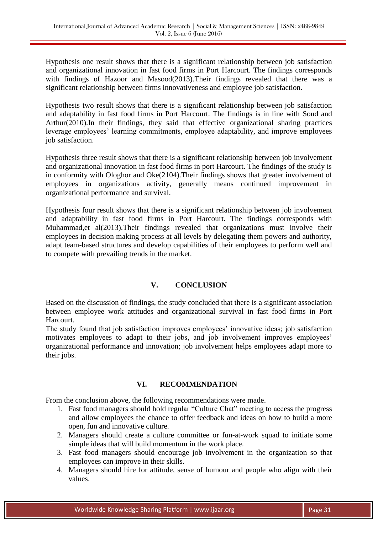Hypothesis one result shows that there is a significant relationship between job satisfaction and organizational innovation in fast food firms in Port Harcourt. The findings corresponds with findings of Hazoor and Masood(2013).Their findings revealed that there was a significant relationship between firms innovativeness and employee job satisfaction.

Hypothesis two result shows that there is a significant relationship between job satisfaction and adaptability in fast food firms in Port Harcourt. The findings is in line with Soud and Arthur(2010).In their findings, they said that effective organizational sharing practices leverage employees' learning commitments, employee adaptability, and improve employees job satisfaction.

Hypothesis three result shows that there is a significant relationship between job involvement and organizational innovation in fast food firms in port Harcourt. The findings of the study is in conformity with Ologhor and Oke(2104).Their findings shows that greater involvement of employees in organizations activity, generally means continued improvement in organizational performance and survival.

Hypothesis four result shows that there is a significant relationship between job involvement and adaptability in fast food firms in Port Harcourt. The findings corresponds with Muhammad,et al(2013).Their findings revealed that organizations must involve their employees in decision making process at all levels by delegating them powers and authority, adapt team-based structures and develop capabilities of their employees to perform well and to compete with prevailing trends in the market.

# **V. CONCLUSION**

Based on the discussion of findings, the study concluded that there is a significant association between employee work attitudes and organizational survival in fast food firms in Port Harcourt.

The study found that job satisfaction improves employees' innovative ideas; job satisfaction motivates employees to adapt to their jobs, and job involvement improves employees' organizational performance and innovation; job involvement helps employees adapt more to their jobs.

### **VI. RECOMMENDATION**

From the conclusion above, the following recommendations were made.

- 1. Fast food managers should hold regular "Culture Chat" meeting to access the progress and allow employees the chance to offer feedback and ideas on how to build a more open, fun and innovative culture.
- 2. Managers should create a culture committee or fun-at-work squad to initiate some simple ideas that will build momentum in the work place.
- 3. Fast food managers should encourage job involvement in the organization so that employees can improve in their skills.
- 4. Managers should hire for attitude, sense of humour and people who align with their values.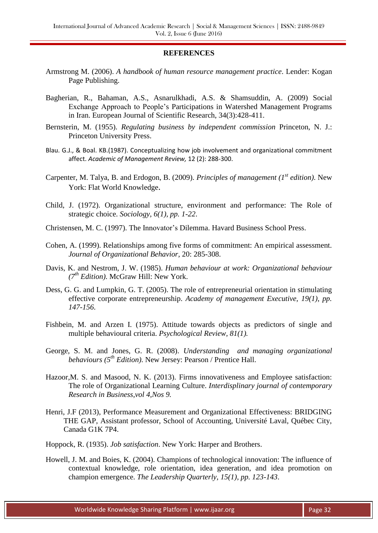#### **REFERENCES**

- Armstrong M. (2006). *A handbook of human resource management practice*. Lender: Kogan Page Publishing.
- Bagherian, R., Bahaman, A.S., Asnarulkhadi, A.S. & Shamsuddin, A. (2009) Social Exchange Approach to People's Participations in Watershed Management Programs in Iran. European Journal of Scientific Research, 34(3):428-411.
- Bernsterin, M. (1955). *Regulating business by independent commission* Princeton, N. J.: Princeton University Press.
- Blau. G.J., & Boal. KB.(1987). Conceptualizing how job involvement and organizational commitment affect. *Academic of Management Review,* 12 (2): 288-300.
- Carpenter, M. Talya, B. and Erdogon, B. (2009). *Principles of management (1st edition)*. New York: Flat World Knowledge.
- Child, J. (1972). Organizational structure, environment and performance: The Role of strategic choice. *Sociology, 6(1), pp. 1-22*.
- Christensen, M. C. (1997). The Innovator's Dilemma. Havard Business School Press.
- Cohen, A. (1999). Relationships among five forms of commitment: An empirical assessment. *Journal of Organizational Behavior,* 20: 285-308.
- Davis, K. and Nestrom, J. W. (1985). *Human behaviour at work: Organizational behaviour (7th Edition)*. McGraw Hill: New York.
- Dess, G. G. and Lumpkin, G. T. (2005). The role of entrepreneurial orientation in stimulating effective corporate entrepreneurship. *Academy of management Executive, 19(1), pp. 147-156*.
- Fishbein, M. and Arzen I. (1975). Attitude towards objects as predictors of single and multiple behavioural criteria. *Psychological Review, 81(1).*
- George, S. M. and Jones, G. R. (2008). *Understanding and managing organizational behaviours (5th Edition)*. New Jersey: Pearson / Prentice Hall.
- Hazoor, M. S. and Masood, N. K. (2013). Firms innovativeness and Employee satisfaction: The role of Organizational Learning Culture. *Interdisplinary journal of contemporary Research in Business,vol 4,Nos 9.*
- Henri, J.F (2013), Performance Measurement and Organizational Effectiveness: BRIDGING THE GAP, Assistant professor, School of Accounting, Université Laval, Québec City, Canada G1K 7P4.
- Hoppock, R. (1935). *Job satisfaction*. New York: Harper and Brothers.
- Howell, J. M. and Boies, K. (2004). Champions of technological innovation: The influence of contextual knowledge, role orientation, idea generation, and idea promotion on champion emergence. *The Leadership Quarterly, 15(1), pp. 123-143*.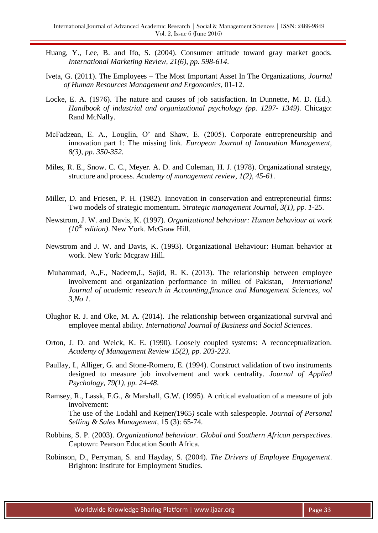- Huang, Y., Lee, B. and Ifo, S. (2004). Consumer attitude toward gray market goods. *International Marketing Review, 21(6), pp. 598-614*.
- Iveta, G. (2011). The Employees The Most Important Asset In The Organizations, *Journal of Human Resources Management and Ergonomics*, 01-12.
- Locke, E. A. (1976). The nature and causes of job satisfaction. In Dunnette, M. D. (Ed.). *Handbook of industrial and organizational psychology (pp. 1297- 1349).* Chicago: Rand McNally.
- McFadzean, E. A., Louglin, O' and Shaw, E. (2005). Corporate entrepreneurship and innovation part 1: The missing link. *European Journal of Innovation Management, 8(3), pp. 350-352*.
- Miles, R. E., Snow. C. C., Meyer. A. D. and Coleman, H. J. (1978). Organizational strategy, structure and process. *Academy of management review, 1(2), 45-61*.
- Miller, D. and Friesen, P. H. (1982). Innovation in conservation and entrepreneurial firms: Two models of strategic momentum. *Strategic management Journal, 3(1), pp. 1-25*.
- Newstrom, J. W. and Davis, K. (1997). *Organizational behaviour: Human behaviour at work (10th edition)*. New York. McGraw Hill.
- Newstrom and J. W. and Davis, K. (1993). Organizational Behaviour: Human behavior at work. New York: Mcgraw Hill.
- Muhammad, A.,F., Nadeem,I., Sajid, R. K. (2013). The relationship between employee involvement and organization performance in milieu of Pakistan, *International Journal of academic research in Accounting,finance and Management Sciences, vol 3,No 1*.
- Olughor R. J. and Oke, M. A. (2014). The relationship between organizational survival and employee mental ability. *International Journal of Business and Social Sciences.*
- Orton, J. D. and Weick, K. E. (1990). Loosely coupled systems: A reconceptualization. *Academy of Management Review 15(2), pp. 203-223*.
- Paullay, I., Alliger, G. and Stone-Romero, E. (1994). Construct validation of two instruments designed to measure job involvement and work centrality. *Journal of Applied Psychology, 79(1), pp. 24-48*.
- Ramsey, R., Lassk, F.G., & Marshall, G.W. (1995). A critical evaluation of a measure of job involvement: The use of the Lodahl and Kejner*(*1965*)* scale with salespeople. *Journal of Personal Selling & Sales Management,* 15 (3): 65-74.
- Robbins, S. P. (2003). *Organizational behaviour. Global and Southern African perspectives*. Captown: Pearson Education South Africa.
- Robinson, D., Perryman, S. and Hayday, S. (2004). *The Drivers of Employee Engagement*. Brighton: Institute for Employment Studies.